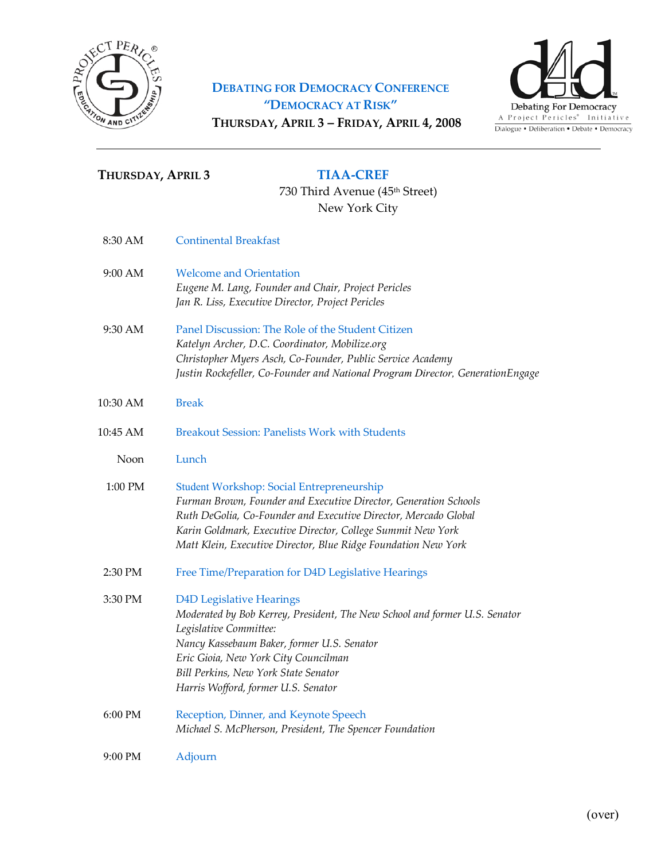

# **DEBATING FOR DEMOCRACY CONFERENCE "DEMOCRACY AT RISK"** THURSDAY, APRIL 3 - FRIDAY, APRIL 4, 2008



# THURSDAY, APRIL 3 TIAA-CREF

730 Third Avenue (45th Street) New York City

| 8:30 AM  | <b>Continental Breakfast</b>                                                                                                                                                                                                                                                                                             |
|----------|--------------------------------------------------------------------------------------------------------------------------------------------------------------------------------------------------------------------------------------------------------------------------------------------------------------------------|
| 9:00 AM  | <b>Welcome and Orientation</b><br>Eugene M. Lang, Founder and Chair, Project Pericles<br>Jan R. Liss, Executive Director, Project Pericles                                                                                                                                                                               |
| 9:30 AM  | Panel Discussion: The Role of the Student Citizen<br>Katelyn Archer, D.C. Coordinator, Mobilize.org<br>Christopher Myers Asch, Co-Founder, Public Service Academy<br>Justin Rockefeller, Co-Founder and National Program Director, GenerationEngage                                                                      |
| 10:30 AM | <b>Break</b>                                                                                                                                                                                                                                                                                                             |
| 10:45 AM | <b>Breakout Session: Panelists Work with Students</b>                                                                                                                                                                                                                                                                    |
| Noon     | Lunch                                                                                                                                                                                                                                                                                                                    |
| 1:00 PM  | <b>Student Workshop: Social Entrepreneurship</b><br>Furman Brown, Founder and Executive Director, Generation Schools<br>Ruth DeGolia, Co-Founder and Executive Director, Mercado Global<br>Karin Goldmark, Executive Director, College Summit New York<br>Matt Klein, Executive Director, Blue Ridge Foundation New York |
| 2:30 PM  | Free Time/Preparation for D4D Legislative Hearings                                                                                                                                                                                                                                                                       |
| 3:30 PM  | <b>D4D Legislative Hearings</b><br>Moderated by Bob Kerrey, President, The New School and former U.S. Senator<br>Legislative Committee:<br>Nancy Kassebaum Baker, former U.S. Senator<br>Eric Gioia, New York City Councilman<br>Bill Perkins, New York State Senator<br>Harris Wofford, former U.S. Senator             |
| 6:00 PM  | Reception, Dinner, and Keynote Speech<br>Michael S. McPherson, President, The Spencer Foundation                                                                                                                                                                                                                         |
| 9:00 PM  | Adjourn                                                                                                                                                                                                                                                                                                                  |